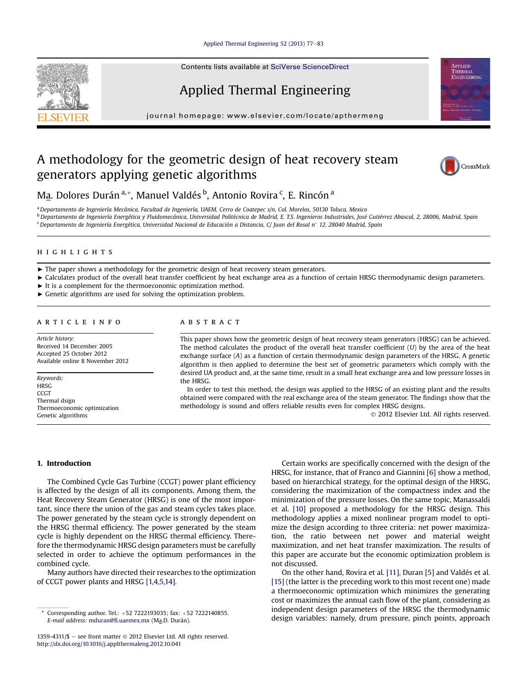## [Applied Thermal Engineering 52 \(2013\) 77](http://dx.doi.org/10.1016/j.applthermaleng.2012.10.041)-[83](http://dx.doi.org/10.1016/j.applthermaleng.2012.10.041)

Contents lists available at SciVerse ScienceDirect

# Applied Thermal Engineering

journal homepage: [www.elsevier.com/locate/apthermeng](http://www.elsevier.com/locate/apthermeng)

# A methodology for the geometric design of heat recovery steam generators applying genetic algorithms



**APPLIED** THERMAI ENGINEERING

M<u>a</u>. Dolores Durán<sup>a,</sup>\*, Manuel Valdés <sup>b</sup>, Antonio Rovira <sup>c</sup>, E. Rincón <sup>a</sup>

<sup>a</sup> Departamento de Ingeniería Mecánica, Facultad de Ingeniería, UAEM, Cerro de Coatepec s/n, Col. Morelos, 50130 Toluca, Mexico <sup>b</sup> Departamento de Ingeniería Energética y Fluidomecánica, Universidad Politécnica de Madrid, E. T.S. Ingenieros Industriales, José Gutiérrez Abascal, 2, 28006, Madrid, Spain

<sup>c</sup> Departamento de Ingeniería Energética, Universidad Nacional de Educación a Distancia, C/ Juan del Rosal nº 12, 28040 Madrid, Spain

### HIGHLIGHTS highlights are the state of the state of

 $\blacktriangleright$  The paper shows a methodology for the geometric design of heat recovery steam generators.

- < Calculates product of the overall heat transfer coefficient by heat exchange area as a function of certain HRSG thermodynamic design parameters.
- $\blacktriangleright$  It is a complement for the thermoeconomic optimization method.
- $\blacktriangleright$  Genetic algorithms are used for solving the optimization problem.

Article history: Received 14 December 2005 Accepted 25 October 2012 Available online 8 November 2012

Keywords: **HRSG CCGT** Thermal dsign Thermoeconomic optimization Genetic algorithms

This paper shows how the geometric design of heat recovery steam generators (HRSG) can be achieved. The method calculates the product of the overall heat transfer coefficient  $(U)$  by the area of the heat exchange surface (A) as a function of certain thermodynamic design parameters of the HRSG. A genetic algorithm is then applied to determine the best set of geometric parameters which comply with the desired UA product and, at the same time, result in a small heat exchange area and low pressure losses in the HRSG.

In order to test this method, the design was applied to the HRSG of an existing plant and the results obtained were compared with the real exchange area of the steam generator. The findings show that the methodology is sound and offers reliable results even for complex HRSG designs.

2012 Elsevier Ltd. All rights reserved.

## 1. Introduction

The Combined Cycle Gas Turbine (CCGT) power plant efficiency is affected by the design of all its components. Among them, the Heat Recovery Steam Generator (HRSG) is one of the most important, since there the union of the gas and steam cycles takes place. The power generated by the steam cycle is strongly dependent on the HRSG thermal efficiency. The power generated by the steam cycle is highly dependent on the HRSG thermal efficiency. Therefore the thermodynamic HRSG design parameters must be carefully selected in order to achieve the optimum performances in the combined cycle.

Many authors have directed their researches to the optimization of CCGT power plants and HRSG [\[1,4,5,14\].](#page--1-0)

Certain works are specifically concerned with the design of the HRSG, for instance, that of Franco and Giannini [\[6\]](#page--1-0) show a method, based on hierarchical strategy, for the optimal design of the HRSG, considering the maximization of the compactness index and the minimization of the pressure losses. On the same topic, Manassaldi et al. [\[10\]](#page--1-0) proposed a methodology for the HRSG design. This methodology applies a mixed nonlinear program model to optimize the design according to three criteria: net power maximization, the ratio between net power and material weight maximization, and net heat transfer maximization. The results of this paper are accurate but the economic optimization problem is not discussed.

On the other hand, Rovira et al. [\[11\]](#page--1-0), Duran [\[5\]](#page--1-0) and Valdés et al. [\[15\]](#page--1-0) (the latter is the preceding work to this most recent one) made a thermoeconomic optimization which minimizes the generating cost or maximizes the annual cash flow of the plant, considering as independent design parameters of the HRSG the thermodynamic design variables: namely, drum pressure, pinch points, author. Tel.: +52 7222193035; fax: +52 7222140855.<br>E-mail address: mduran@fi uaemex mx (Ma D. Durán) design variables: namely, drum pressure, pinch points, approach



E-mail address: mduran@fi[.uaemex.mx](mailto:mduran@fi.uaemex.mx) (Ma.D. Durán).

<sup>1359-4311/\$ -</sup> see front matter  $\odot$  2012 Elsevier Ltd. All rights reserved. <http://dx.doi.org/10.1016/j.applthermaleng.2012.10.041>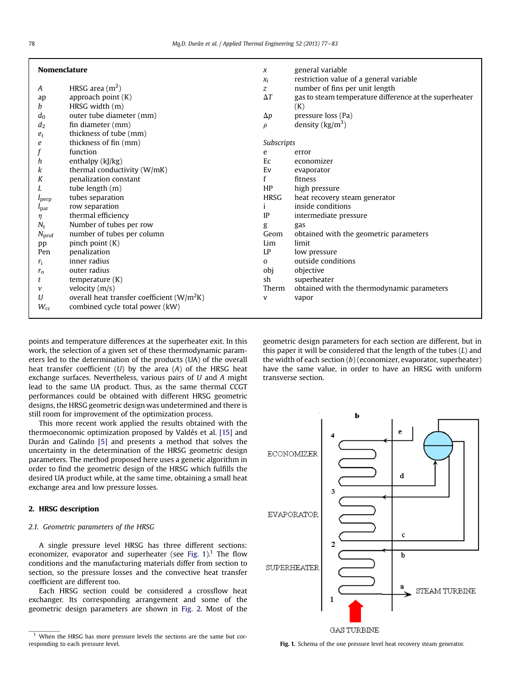| <b>Nomenclature</b> |                                               | x                 | general variable                                       |
|---------------------|-----------------------------------------------|-------------------|--------------------------------------------------------|
|                     |                                               | $\chi_i$          | restriction value of a general variable                |
| A                   | HRSG area $(m2)$                              | $\mathcal{Z}$     | number of fins per unit length                         |
| ap                  | approach point (K)                            | $\Delta T$        | gas to steam temperature difference at the superheater |
| b                   | HRSG width $(m)$                              |                   | (K)                                                    |
| $d_0$               | outer tube diameter (mm)                      | $\Delta p$        | pressure loss (Pa)                                     |
| $d_2$               | fin diameter (mm)                             | $\rho$            | density $(kg/m3)$                                      |
| $e_{t}$             | thickness of tube (mm)                        |                   |                                                        |
| e                   | thickness of fin (mm)                         | <b>Subscripts</b> |                                                        |
|                     | function                                      | e                 | error                                                  |
| h                   | enthalpy (kJ/kg)                              | Ec                | economizer                                             |
| k                   | thermal conductivity (W/mK)                   | Ev                | evaporator                                             |
| К                   | penalization constant                         | f                 | fitness                                                |
|                     | tube length (m)                               | HP                | high pressure                                          |
| $l_{\text{perp}}$   | tubes separation                              | <b>HRSG</b>       | heat recovery steam generator                          |
| $l_{\rm par}$       | row separation                                |                   | inside conditions                                      |
| η                   | thermal efficiency                            | IP                | intermediate pressure                                  |
| $N_{\rm f}$         | Number of tubes per row                       | g                 | gas                                                    |
| $N_{\text{prof}}$   | number of tubes per column                    | Geom              | obtained with the geometric parameters                 |
| pp                  | pinch point (K)                               | Lim.              | limit                                                  |
| Pen                 | penalization                                  | LP                | low pressure                                           |
| $r_i$               | inner radius                                  | $\Omega$          | outside conditions                                     |
| $r_{\rm o}$         | outer radius                                  | obj               | objective                                              |
| t                   | temperature $(K)$                             | sh                | superheater                                            |
| v                   | velocity $(m/s)$                              | Therm             | obtained with the thermodynamic parameters             |
| U                   | overall heat transfer coefficient ( $W/m2K$ ) | V                 | vapor                                                  |
| $W_{\rm cc}$        | combined cycle total power (kW)               |                   |                                                        |
|                     |                                               |                   |                                                        |

points and temperature differences at the superheater exit. In this work, the selection of a given set of these thermodynamic parameters led to the determination of the products (UA) of the overall heat transfer coefficient  $(U)$  by the area  $(A)$  of the HRSG heat exchange surfaces. Nevertheless, various pairs of U and A might lead to the same UA product. Thus, as the same thermal CCGT performances could be obtained with different HRSG geometric designs, the HRSG geometric design was undetermined and there is still room for improvement of the optimization process.

This more recent work applied the results obtained with the thermoeconomic optimization proposed by Valdés et al. [\[15\]](#page--1-0) and Durán and Galindo [\[5\]](#page--1-0) and presents a method that solves the uncertainty in the determination of the HRSG geometric design parameters. The method proposed here uses a genetic algorithm in order to find the geometric design of the HRSG which fulfills the desired UA product while, at the same time, obtaining a small heat exchange area and low pressure losses.

# 2. HRSG description

## 2.1. Geometric parameters of the HRSG

A single pressure level HRSG has three different sections: economizer, evaporator and superheater (see Fig.  $1$ ).<sup>1</sup> The flow conditions and the manufacturing materials differ from section to section, so the pressure losses and the convective heat transfer coefficient are different too.

Each HRSG section could be considered a crossflow heat exchanger. Its corresponding arrangement and some of the geometric design parameters are shown in [Fig. 2](#page--1-0). Most of the geometric design parameters for each section are different, but in this paper it will be considered that the length of the tubes  $(L)$  and the width of each section (b) (economizer, evaporator, superheater) have the same value, in order to have an HRSG with uniform transverse section.



Fig. 1. Schema of the one pressure level heat recovery steam generator.

 $1$  When the HRSG has more pressure levels the sections are the same but corresponding to each pressure level.